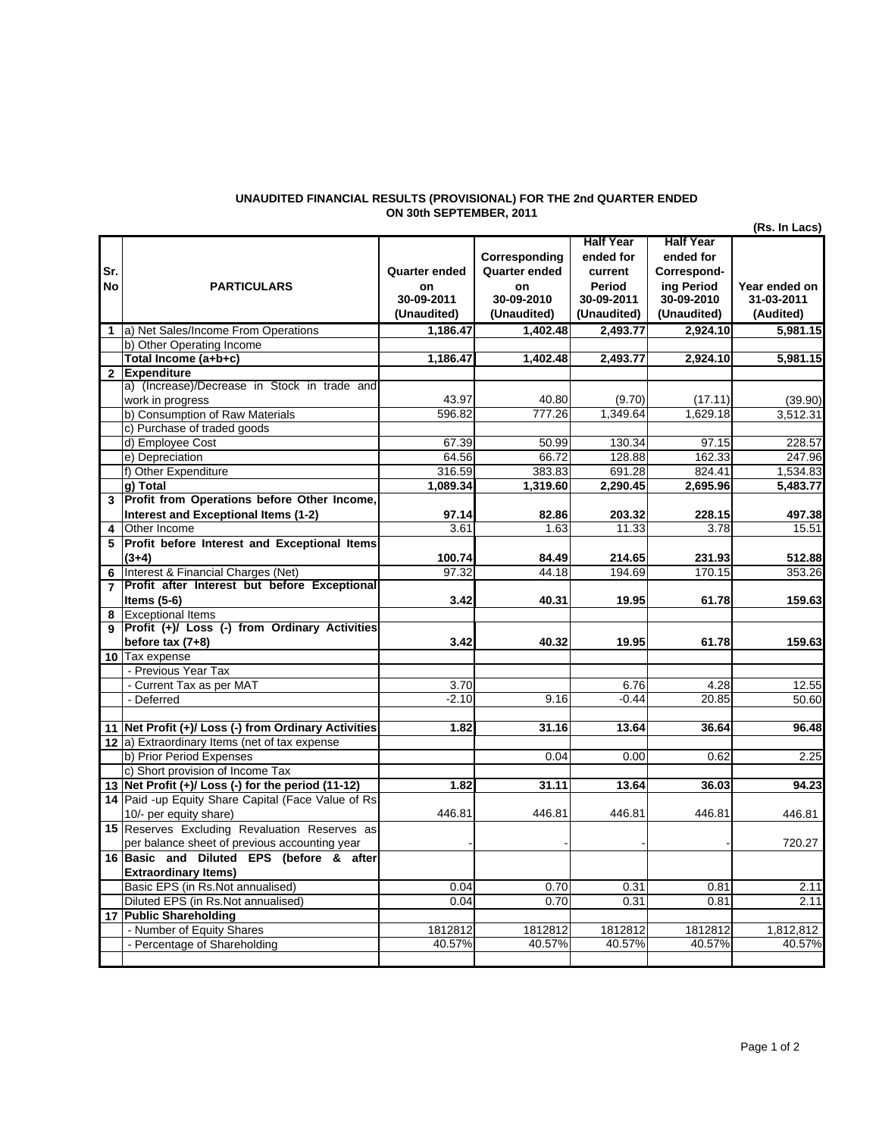## **UNAUDITED FINANCIAL RESULTS (PROVISIONAL) FOR THE 2nd QUARTER ENDED ON 30th SEPTEMBER, 2011**

|                |                                                      |               |                      |                  |                  | (Rs. In Lacs) |
|----------------|------------------------------------------------------|---------------|----------------------|------------------|------------------|---------------|
|                |                                                      |               |                      | <b>Half Year</b> | <b>Half Year</b> |               |
|                |                                                      |               | Corresponding        | ended for        | ended for        |               |
| Sr.            |                                                      | Quarter ended | <b>Quarter ended</b> | current          | Correspond-      |               |
| No             | <b>PARTICULARS</b>                                   | on            | on                   | Period           | ing Period       | Year ended on |
|                |                                                      | 30-09-2011    | 30-09-2010           | 30-09-2011       | 30-09-2010       | 31-03-2011    |
|                |                                                      | (Unaudited)   | (Unaudited)          | (Unaudited)      | (Unaudited)      | (Audited)     |
| $\mathbf{1}$   | a) Net Sales/Income From Operations                  | 1,186.47      | 1.402.48             | 2.493.77         | 2.924.10         | 5,981.15      |
|                | b) Other Operating Income                            |               |                      |                  |                  |               |
|                | Total Income (a+b+c)                                 | 1,186.47      | 1,402.48             | 2,493.77         | 2,924.10         | 5,981.15      |
|                | 2 Expenditure                                        |               |                      |                  |                  |               |
|                | a) (Increase)/Decrease in Stock in trade and         |               |                      |                  |                  |               |
|                | work in progress                                     | 43.97         | 40.80                | (9.70)           | (17.11)          | (39.90)       |
|                | b) Consumption of Raw Materials                      | 596.82        | 777.26               | 1,349.64         | 1.629.18         | 3,512.31      |
|                | c) Purchase of traded goods                          |               |                      |                  |                  |               |
|                | d) Employee Cost                                     | 67.39         | 50.99                | 130.34           | 97.15            | 228.57        |
|                | e) Depreciation                                      | 64.56         | 66.72                | 128.88           | 162.33           | 247.96        |
|                | f) Other Expenditure                                 | 316.59        | 383.83               | 691.28           | 824.41           | 1,534.83      |
|                | g) Total                                             | 1,089.34      | 1,319.60             | 2,290.45         | 2,695.96         | 5,483.77      |
|                | 3 Profit from Operations before Other Income,        |               |                      |                  |                  |               |
|                | Interest and Exceptional Items (1-2)                 | 97.14         | 82.86                | 203.32           | 228.15           | 497.38        |
| 4              | Other Income                                         | 3.61          | 1.63                 | 11.33            | 3.78             | 15.51         |
| 5              | Profit before Interest and Exceptional Items         |               |                      |                  |                  |               |
|                | $(3+4)$                                              | 100.74        | 84.49                | 214.65           | 231.93           | 512.88        |
| 6              | Interest & Financial Charges (Net)                   | 97.32         | 44.18                | 194.69           | 170.15           | 353.26        |
| $\overline{7}$ | Profit after Interest but before Exceptional         |               |                      |                  |                  |               |
|                | Items $(5-6)$                                        | 3.42          | 40.31                | 19.95            | 61.78            | 159.63        |
| 8              | <b>Exceptional Items</b>                             |               |                      |                  |                  |               |
| <b>g</b>       | Profit (+)/ Loss (-) from Ordinary Activities        |               |                      |                  |                  |               |
|                | before $tax(7+8)$                                    | 3.42          | 40.32                | 19.95            | 61.78            | 159.63        |
|                | 10 Tax expense                                       |               |                      |                  |                  |               |
|                | - Previous Year Tax                                  |               |                      |                  |                  |               |
|                | - Current Tax as per MAT                             | 3.70          |                      | 6.76             | 4.28             | 12.55         |
|                | - Deferred                                           | $-2.10$       | 9.16                 | $-0.44$          | 20.85            | 50.60         |
|                | 11 Net Profit (+)/ Loss (-) from Ordinary Activities | 1.82          | 31.16                | 13.64            | 36.64            | 96.48         |
|                | 12 a) Extraordinary Items (net of tax expense        |               |                      |                  |                  |               |
|                | b) Prior Period Expenses                             |               | 0.04                 | 0.00             | 0.62             | 2.25          |
|                | c) Short provision of Income Tax                     |               |                      |                  |                  |               |
|                | 13 Net Profit (+)/ Loss (-) for the period (11-12)   | 1.82          | 31.11                | 13.64            | 36.03            | 94.23         |
|                | 14 Paid -up Equity Share Capital (Face Value of Rs   |               |                      |                  |                  |               |
|                | 10/- per equity share)                               | 446.81        | 446.81               | 446.81           | 446.81           | 446.81        |
|                | 15 Reserves Excluding Revaluation Reserves as        |               |                      |                  |                  |               |
|                | per balance sheet of previous accounting year        |               |                      |                  |                  | 720.27        |
|                | 16 Basic and Diluted EPS (before & after             |               |                      |                  |                  |               |
|                | <b>Extraordinary Items)</b>                          |               |                      |                  |                  |               |
|                | Basic EPS (in Rs.Not annualised)                     | 0.04          | 0.70                 | 0.31             | 0.81             | 2.11          |
|                | Diluted EPS (in Rs.Not annualised)                   | 0.04          | 0.70                 | 0.31             | 0.81             | 2.11          |
|                | 17 Public Shareholding                               |               |                      |                  |                  |               |
|                | - Number of Equity Shares                            | 1812812       | 1812812              | 1812812          | 1812812          | 1,812,812     |
|                | - Percentage of Shareholding                         | 40.57%        | 40.57%               | 40.57%           | 40.57%           | 40.57%        |
|                |                                                      |               |                      |                  |                  |               |
|                |                                                      |               |                      |                  |                  |               |